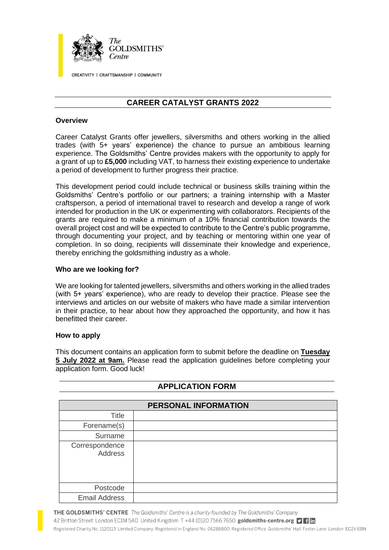

CREATIVITY | CRAFTSMANSHIP | COMMUNITY

# **CAREER CATALYST GRANTS 2022**

#### **Overview**

Career Catalyst Grants offer jewellers, silversmiths and others working in the allied trades (with 5+ years' experience) the chance to pursue an ambitious learning experience. The Goldsmiths' Centre provides makers with the opportunity to apply for a grant of up to **£5,000** including VAT, to harness their existing experience to undertake a period of development to further progress their practice.

This development period could include technical or business skills training within the Goldsmiths' Centre's portfolio or our partners; a training internship with a Master craftsperson, a period of international travel to research and develop a range of work intended for production in the UK or experimenting with collaborators. Recipients of the grants are required to make a minimum of a 10% financial contribution towards the overall project cost and will be expected to contribute to the Centre's public programme, through documenting your project, and by teaching or mentoring within one year of completion. In so doing, recipients will disseminate their knowledge and experience, thereby enriching the goldsmithing industry as a whole.

#### **Who are we looking for?**

We are looking for talented jewellers, silversmiths and others working in the allied trades (with 5+ years' experience), who are ready to develop their practice. Please see the interviews and articles on our website of makers who have made a similar intervention in their practice, to hear about how they approached the opportunity, and how it has benefitted their career.

#### **How to apply**

This document contains an application form to submit before the deadline on **Tuesday 5 July 2022 at 9am.** Please read the application guidelines before completing your application form. Good luck!

| PERSONAL INFORMATION             |  |  |
|----------------------------------|--|--|
| <b>Title</b>                     |  |  |
| Forename(s)                      |  |  |
| Surname                          |  |  |
| Correspondence<br><b>Address</b> |  |  |
| Postcode                         |  |  |
| <b>Email Address</b>             |  |  |

## **APPLICATION FORM**

THE GOLDSMITHS' CENTRE The Goldsmiths' Centre is a charity founded by The Goldsmiths' Company

42 Britton Street London EC1M 5AD United Kingdom T +44 (0)20 7566 7650 goldsmiths-centre.org **D** Registered Charity No. 1120113 Limited Company Registered in England No. 06288800 Registered Office Goldsmiths' Hall Foster Lane London EC2V 6BN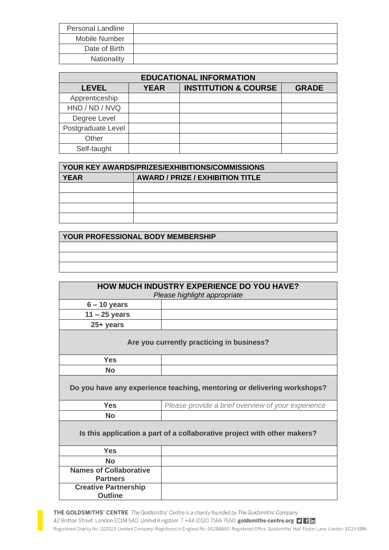| <b>Personal Landline</b> |  |
|--------------------------|--|
| Mobile Number            |  |
| Date of Birth            |  |
| Nationality              |  |

| <b>EDUCATIONAL INFORMATION</b> |             |                                 |              |  |  |
|--------------------------------|-------------|---------------------------------|--------------|--|--|
| <b>LEVEL</b>                   | <b>YEAR</b> | <b>INSTITUTION &amp; COURSE</b> | <b>GRADE</b> |  |  |
| Apprenticeship                 |             |                                 |              |  |  |
| HND / ND / NVQ                 |             |                                 |              |  |  |
| Degree Level                   |             |                                 |              |  |  |
| Postgraduate Level             |             |                                 |              |  |  |
| Other                          |             |                                 |              |  |  |
| Self-taught                    |             |                                 |              |  |  |

| YOUR KEY AWARDS/PRIZES/EXHIBITIONS/COMMISSIONS |                                         |  |
|------------------------------------------------|-----------------------------------------|--|
| <b>YEAR</b>                                    | <b>AWARD / PRIZE / EXHIBITION TITLE</b> |  |
|                                                |                                         |  |
|                                                |                                         |  |
|                                                |                                         |  |
|                                                |                                         |  |

**YOUR PROFESSIONAL BODY MEMBERSHIP**

| HOW MUCH INDUSTRY EXPERIENCE DO YOU HAVE?                                |                                                    |  |  |  |
|--------------------------------------------------------------------------|----------------------------------------------------|--|--|--|
| Please highlight appropriate                                             |                                                    |  |  |  |
| $6 - 10$ years                                                           |                                                    |  |  |  |
| $11 - 25$ years                                                          |                                                    |  |  |  |
| 25+ years                                                                |                                                    |  |  |  |
| Are you currently practicing in business?                                |                                                    |  |  |  |
| <b>Yes</b>                                                               |                                                    |  |  |  |
| <b>No</b>                                                                |                                                    |  |  |  |
| Do you have any experience teaching, mentoring or delivering workshops?  |                                                    |  |  |  |
| <b>Yes</b>                                                               | Please provide a brief overview of your experience |  |  |  |
| <b>No</b>                                                                |                                                    |  |  |  |
| Is this application a part of a collaborative project with other makers? |                                                    |  |  |  |
| <b>Yes</b>                                                               |                                                    |  |  |  |
| <b>No</b>                                                                |                                                    |  |  |  |
| <b>Names of Collaborative</b><br><b>Partners</b>                         |                                                    |  |  |  |
| <b>Creative Partnership</b><br><b>Outline</b>                            |                                                    |  |  |  |

THE GOLDSMITHS' CENTRE The Goldsmiths' Centre is a charity founded by The Goldsmiths' Company 42 Britton Street London EC1M 5AD United Kingdom T +44 (0)20 7566 7650 goldsmiths-centre.org D 1 m Registered Charity No. 1120113 Limited Company Registered in England No. 06288800 Registered Office Goldsmiths' Hall Foster Lane London EC2V 6BN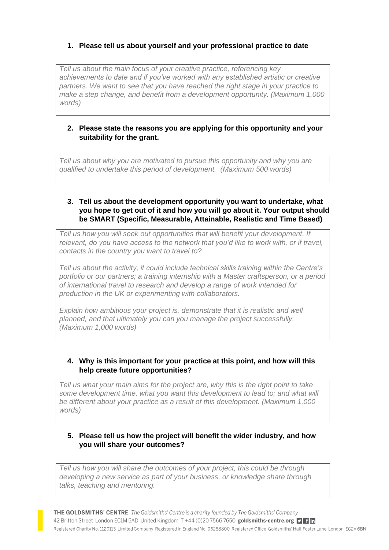## **1. Please tell us about yourself and your professional practice to date**

*Tell us about the main focus of your creative practice, referencing key achievements to date and if you've worked with any established artistic or creative partners. We want to see that you have reached the right stage in your practice to make a step change, and benefit from a development opportunity. (Maximum 1,000 words)*

### **2. Please state the reasons you are applying for this opportunity and your suitability for the grant.**

*Tell us about why you are motivated to pursue this opportunity and why you are qualified to undertake this period of development. (Maximum 500 words)*

### **3. Tell us about the development opportunity you want to undertake, what you hope to get out of it and how you will go about it. Your output should be SMART (Specific, Measurable, Attainable, Realistic and Time Based)**

*Tell us how you will seek out opportunities that will benefit your development. If*  relevant, do you have access to the network that you'd like to work with, or if travel, *contacts in the country you want to travel to?*

*Tell us about the activity, it could include technical skills training within the Centre's portfolio or our partners; a training internship with a Master craftsperson, or a period of international travel to research and develop a range of work intended for production in the UK or experimenting with collaborators.*

*Explain how ambitious your project is, demonstrate that it is realistic and well planned, and that ultimately you can you manage the project successfully. (Maximum 1,000 words)*

### **4. Why is this important for your practice at this point, and how will this help create future opportunities?**

*Tell us what your main aims for the project are, why this is the right point to take some development time, what you want this development to lead to; and what will be different about your practice as a result of this development. (Maximum 1,000 words)*

### **5. Please tell us how the project will benefit the wider industry, and how you will share your outcomes?**

*Tell us how you will share the outcomes of your project, this could be through developing a new service as part of your business, or knowledge share through talks, teaching and mentoring.*

THE GOLDSMITHS' CENTRE The Goldsmiths' Centre is a charity founded by The Goldsmiths' Company 42 Britton Street London EC1M 5AD United Kingdom T +44 (0)20 7566 7650 goldsmiths-centre.org **D** Registered Charity No. 1120113 Limited Company Registered in England No. 06288800 Registered Office Goldsmiths' Hall Foster Lane London EC2V 6BN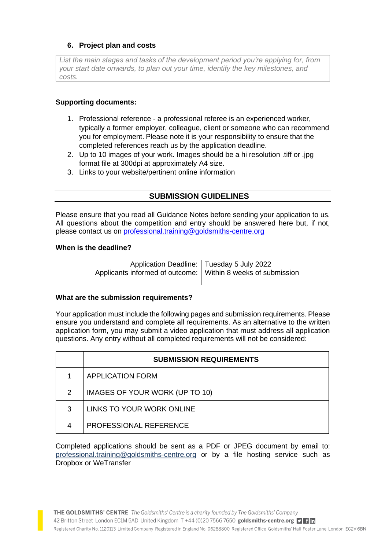## **6. Project plan and costs**

*List the main stages and tasks of the development period you're applying for, from your start date onwards, to plan out your time, identify the key milestones, and costs.*

### **Supporting documents:**

- 1. Professional reference a professional referee is an experienced worker, typically a former employer, colleague, client or someone who can recommend you for employment. Please note it is your responsibility to ensure that the completed references reach us by the application deadline.
- 2. Up to 10 images of your work. Images should be a hi resolution .tiff or .jpg format file at 300dpi at approximately A4 size.
- 3. Links to your website/pertinent online information

## **SUBMISSION GUIDELINES**

Please ensure that you read all Guidance Notes before sending your application to us. All questions about the competition and entry should be answered here but, if not, please contact us on [professional.training@goldsmiths-centre.org](mailto:professional.training@goldsmiths-centre.org)

### **When is the deadline?**

Application Deadline: Tuesday 5 July 2022 Applicants informed of outcome: Within 8 weeks of submission

### **What are the submission requirements?**

Your application must include the following pages and submission requirements. Please ensure you understand and complete all requirements. As an alternative to the written application form, you may submit a video application that must address all application questions. Any entry without all completed requirements will not be considered:

|   | <b>SUBMISSION REQUIREMENTS</b> |
|---|--------------------------------|
|   | <b>APPLICATION FORM</b>        |
| 2 | IMAGES OF YOUR WORK (UP TO 10) |
| 3 | LINKS TO YOUR WORK ONLINE      |
|   | PROFESSIONAL REFERENCE         |

Completed applications should be sent as a PDF or JPEG document by email to: [professional.training@goldsmiths-centre.org](mailto:professional.training@goldsmiths-centre.org) or by a file hosting service such as Dropbox or WeTransfer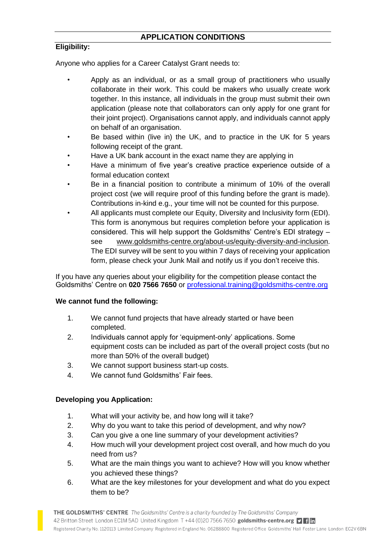## **APPLICATION CONDITIONS**

### **Eligibility:**

Anyone who applies for a Career Catalyst Grant needs to:

- Apply as an individual, or as a small group of practitioners who usually collaborate in their work. This could be makers who usually create work together. In this instance, all individuals in the group must submit their own application (please note that collaborators can only apply for one grant for their joint project). Organisations cannot apply, and individuals cannot apply on behalf of an organisation.
- Be based within (live in) the UK, and to practice in the UK for 5 years following receipt of the grant.
- Have a UK bank account in the exact name they are applying in
- Have a minimum of five year's creative practice experience outside of a formal education context
- Be in a financial position to contribute a minimum of 10% of the overall project cost (we will require proof of this funding before the grant is made). Contributions in-kind e.g., your time will not be counted for this purpose.
- All applicants must complete our Equity, Diversity and Inclusivity form (EDI). This form is anonymous but requires completion before your application is considered. This will help support the Goldsmiths' Centre's EDI strategy – see [www.goldsmiths-centre.org/about-us/equity-diversity-and-inclusion.](http://www.goldsmiths-centre.org/about-us/equity-diversity-and-inclusion) The EDI survey will be sent to you within 7 days of receiving your application form, please check your Junk Mail and notify us if you don't receive this.

If you have any queries about your eligibility for the competition please contact the Goldsmiths' Centre on **020 7566 7650** or [professional.training@goldsmiths-centre.org](mailto:professional.training@goldsmiths-centre.org)

### **We cannot fund the following:**

- 1. We cannot fund projects that have already started or have been completed.
- 2. Individuals cannot apply for 'equipment-only' applications. Some equipment costs can be included as part of the overall project costs (but no more than 50% of the overall budget)
- 3. We cannot support business start-up costs.
- 4. We cannot fund Goldsmiths' Fair fees.

### **Developing you Application:**

- 1. What will your activity be, and how long will it take?
- 2. Why do you want to take this period of development, and why now?
- 3. Can you give a one line summary of your development activities?
- 4. How much will your development project cost overall, and how much do you need from us?
- 5. What are the main things you want to achieve? How will you know whether you achieved these things?
- 6. What are the key milestones for your development and what do you expect them to be?